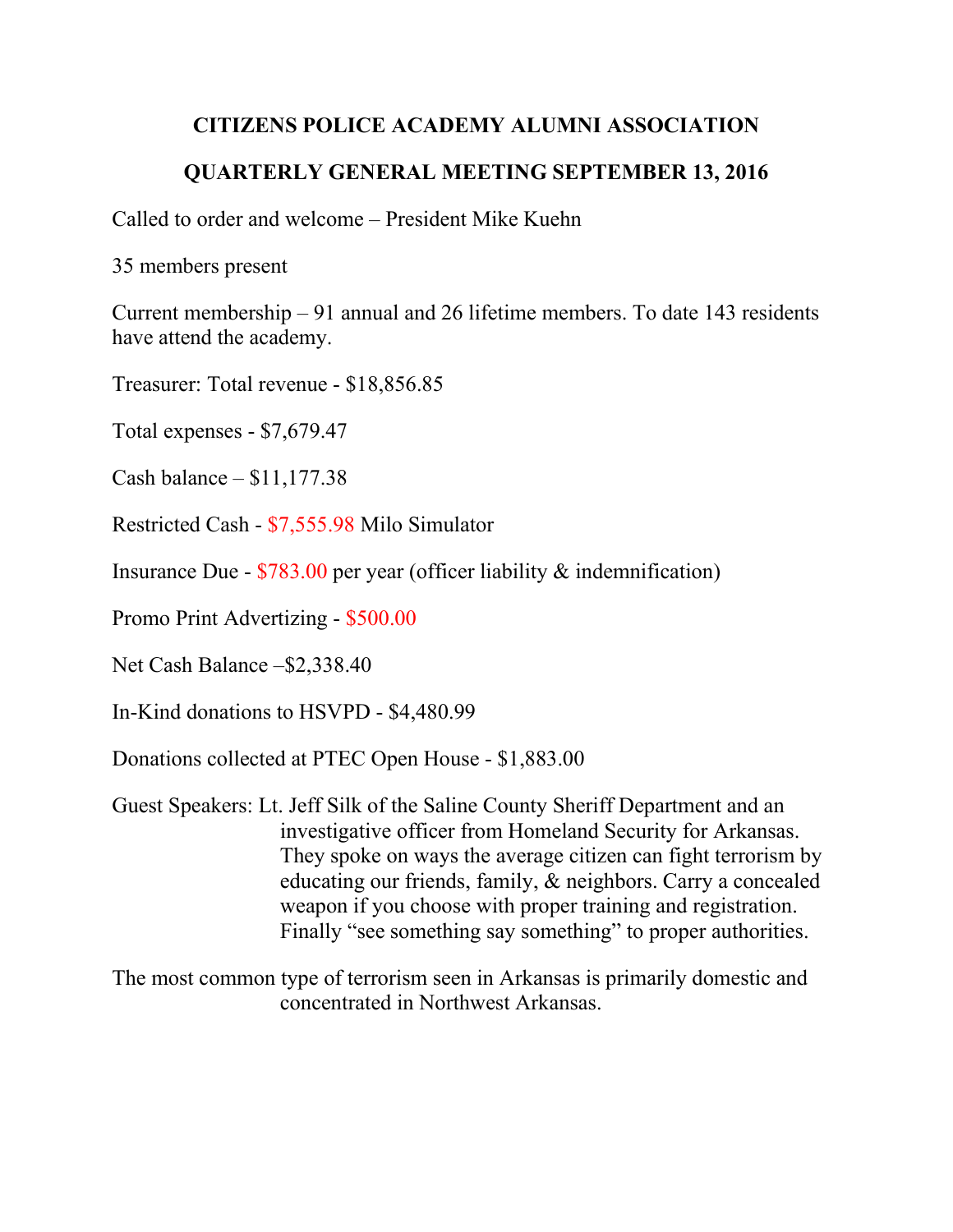## **CITIZENS POLICE ACADEMY ALUMNI ASSOCIATION**

## **QUARTERLY GENERAL MEETING SEPTEMBER 13, 2016**

Called to order and welcome – President Mike Kuehn

35 members present

Current membership – 91 annual and 26 lifetime members. To date 143 residents have attend the academy.

Treasurer: Total revenue - \$18,856.85

Total expenses - \$7,679.47

Cash balance – \$11,177.38

Restricted Cash - \$7,555.98 Milo Simulator

Insurance Due - \$783.00 per year (officer liability & indemnification)

Promo Print Advertizing - \$500.00

Net Cash Balance –\$2,338.40

In-Kind donations to HSVPD - \$4,480.99

Donations collected at PTEC Open House - \$1,883.00

Guest Speakers: Lt. Jeff Silk of the Saline County Sheriff Department and an investigative officer from Homeland Security for Arkansas. They spoke on ways the average citizen can fight terrorism by educating our friends, family, & neighbors. Carry a concealed weapon if you choose with proper training and registration. Finally "see something say something" to proper authorities.

The most common type of terrorism seen in Arkansas is primarily domestic and concentrated in Northwest Arkansas.